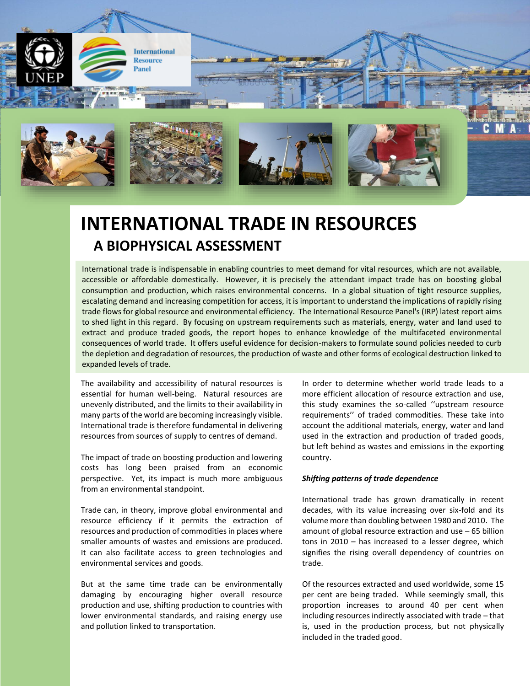

# **INTERNATIONAL TRADE IN RESOURCES A BIOPHYSICAL ASSESSMENT**

International trade is indispensable in enabling countries to meet demand for vital resources, which are not available, accessible or affordable domestically. However, it is precisely the attendant impact trade has on boosting global consumption and production, which raises environmental concerns. In a global situation of tight resource supplies, escalating demand and increasing competition for access, it is important to understand the implications of rapidly rising trade flows for global resource and environmental efficiency. The International Resource Panel's (IRP) latest report aims to shed light in this regard. By focusing on upstream requirements such as materials, energy, water and land used to extract and produce traded goods, the report hopes to enhance knowledge of the multifaceted environmental consequences of world trade. It offers useful evidence for decision-makers to formulate sound policies needed to curb the depletion and degradation of resources, the production of waste and other forms of ecological destruction linked to expanded levels of trade.

The availability and accessibility of natural resources is essential for human well-being. Natural resources are unevenly distributed, and the limits to their availability in many parts of the world are becoming increasingly visible. International trade is therefore fundamental in delivering resources from sources of supply to centres of demand.

The impact of trade on boosting production and lowering costs has long been praised from an economic perspective. Yet, its impact is much more ambiguous from an environmental standpoint.

Trade can, in theory, improve global environmental and resource efficiency if it permits the extraction of resources and production of commodities in places where smaller amounts of wastes and emissions are produced. It can also facilitate access to green technologies and environmental services and goods.

But at the same time trade can be environmentally damaging by encouraging higher overall resource production and use, shifting production to countries with lower environmental standards, and raising energy use and pollution linked to transportation.

In order to determine whether world trade leads to a more efficient allocation of resource extraction and use, this study examines the so-called ''upstream resource requirements'' of traded commodities. These take into account the additional materials, energy, water and land used in the extraction and production of traded goods, but left behind as wastes and emissions in the exporting country.

## *Shifting patterns of trade dependence*

International trade has grown dramatically in recent decades, with its value increasing over six-fold and its volume more than doubling between 1980 and 2010. The amount of global resource extraction and use – 65 billion tons in 2010 – has increased to a lesser degree, which signifies the rising overall dependency of countries on trade.

Of the resources extracted and used worldwide, some 15 per cent are being traded. While seemingly small, this proportion increases to around 40 per cent when including resources indirectly associated with trade – that is, used in the production process, but not physically included in the traded good.